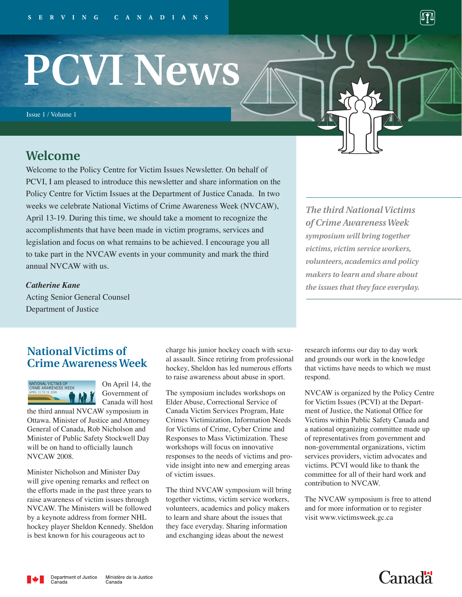# **PCVI News**

Issue 1 / Volume 1

# **Welcome**

Welcome to the Policy Centre for Victim Issues Newsletter. On behalf of PCVI, I am pleased to introduce this newsletter and share information on the Policy Centre for Victim Issues at the Department of Justice Canada. In two weeks we celebrate National Victims of Crime Awareness Week (NVCAW), April 13-19. During this time, we should take a moment to recognize the accomplishments that have been made in victim programs, services and legislation and focus on what remains to be achieved. I encourage you all to take part in the NVCAW events in your community and mark the third annual NVCAW with us.

*The third National Victims of Crime Awareness Week symposium will bring together victims, victim service workers, volunteers, academics and policy makers to learn and share about the issues that they face everyday.* 

## *Catherine Kane*

Acting Senior General Counsel Department of Justice

## **National Victims of Crime Awareness Week**



On April 14, the Government of Canada will host

the third annual NVCAW symposium in Ottawa. Minister of Justice and Attorney General of Canada, Rob Nicholson and Minister of Public Safety Stockwell Day will be on hand to officially launch NVCAW 2008.

Minister Nicholson and Minister Day will give opening remarks and reflect on the efforts made in the past three years to raise awareness of victim issues through NVCAW. The Ministers will be followed by a keynote address from former NHL hockey player Sheldon Kennedy. Sheldon is best known for his courageous act to

charge his junior hockey coach with sexual assault. Since retiring from professional hockey, Sheldon has led numerous efforts to raise awareness about abuse in sport.

The symposium includes workshops on Elder Abuse, Correctional Service of Canada Victim Services Program, Hate Crimes Victimization, Information Needs for Victims of Crime, Cyber Crime and Responses to Mass Victimization. These workshops will focus on innovative responses to the needs of victims and provide insight into new and emerging areas of victim issues.

The third NVCAW symposium will bring together victims, victim service workers, volunteers, academics and policy makers to learn and share about the issues that they face everyday. Sharing information and exchanging ideas about the newest

research informs our day to day work and grounds our work in the knowledge that victims have needs to which we must respond.

NVCAW is organized by the Policy Centre for Victim Issues (PCVI) at the Department of Justice, the National Office for Victims within Public Safety Canada and a national organizing committee made up of representatives from government and non-governmental organizations, victim services providers, victim advocates and victims. PCVI would like to thank the committee for all of their hard work and contribution to NVCAW.

The NVCAW symposium is free to attend and for more information or to register visit www.victimsweek.gc.ca